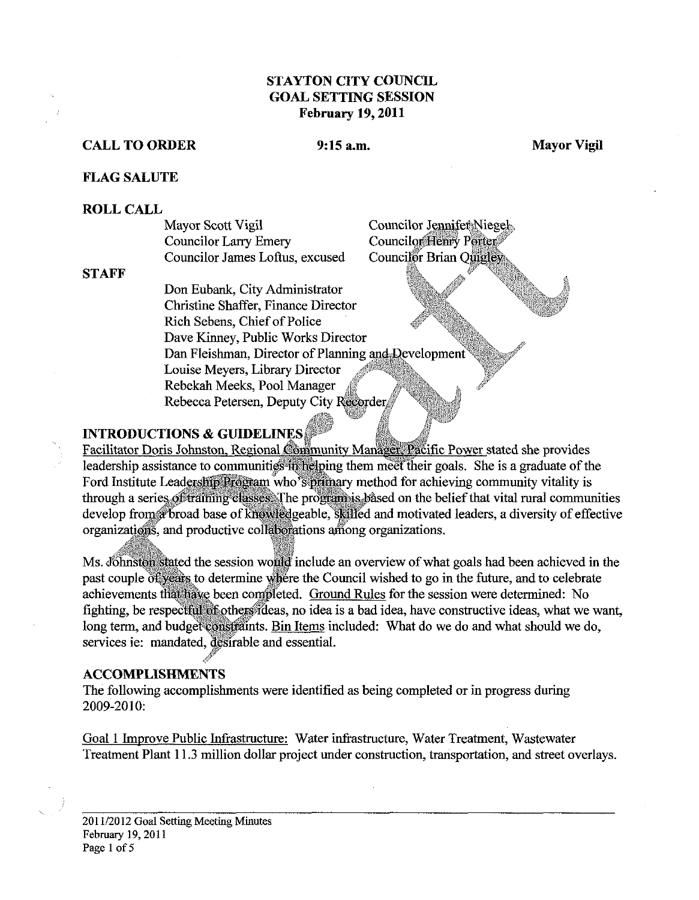#### **STAYTON CITY COUNCIL GOAL SETTING SESSION February 19,2011**

#### **CALL TO ORDER** 9:15 a.m. 9:15 a.m. Mayor Vigil

#### **FLAG SALUTE**

#### **ROLL CALL**

| Mayor Scott Vigil               | Councilor Jennifer Niegel<br>Councilor Henry Porter |
|---------------------------------|-----------------------------------------------------|
| Councilor Larry Emery           |                                                     |
| Councilor James Loftus, excused | Councilor Brian Quigley                             |

**STAFF** 

Don Eubank, City Administrator Christine Shaffer, Fiance Director Rich Sebens, Chief of Police Dave Kinney, Public Works Director Dan Fleishman, Director of Planning and Development Louise Meyers, Library Director Rebekah Meeks, Pool Manager Rebecca Petersen, Deputy City Recorder

#### **INTRODUCTIONS & GUIDELINES**

Facilitator Doris Johnston, Regional Community Manager, Pacific Power stated she provides leadership assistance to communities in helping them meet their goals. She is a graduate of the Ford Institute Leadership Program who's primary method for achieving community vitality is through a series of training classes. The program is based on the belief that vital rural communities develop from a broad base of knowledgeable, skilled and motivated leaders, a diversity of effective organizations, and productive collaborations among organizations.

Ms. Johnston stated the session would include an overview of what goals had been achieved in the past couple of years to determine where the Council wished to go in the future, and to celebrate achievements that have been completed. Ground Rules for the session were determined: No fighting, be respectful of others ideas, no idea is a bad idea, have constructive ideas, what we want, long term, and budget constraints. Bin Items included: What do we do and what should we do, services ie: mandated, desirable and essential.

#### **ACCOMPLISHMENTS**

The following accomplishments were identified as being completed or in progress during 2009-2010:

Goal 1 Improve Public Infrastructure: Water infrastructure, Water Treatment, Wastewater Treatment Plant 11.3 million dollar project under construction, transportation, and street overlays.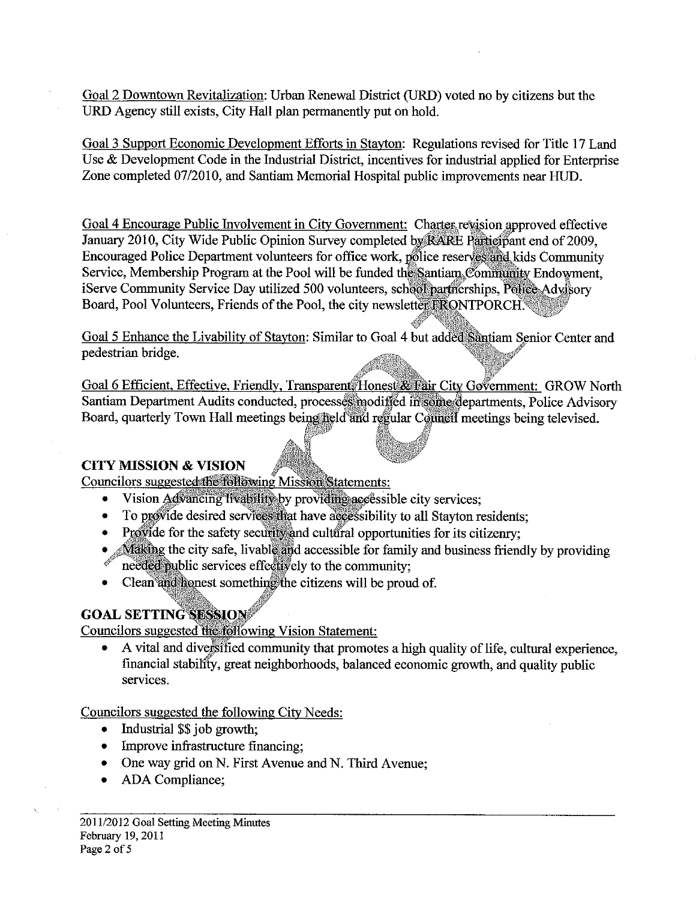Goal 2 Downtown Revitalization: Urban Renewal District (URD) voted no by citizens but the URD Agency still exists, City Hall plan permanently put on hold.

Goal 3 Support Economic Development Efforts in Stayton: Regulations revised for Title 17 Land Use & Development Code in the Industrial District, incentives for industrial applied for Enterprise Zone completed 07/2010, and Santiam Memorial Hospital public improvements near HUD.

Goal 4 Encourage Public Involvement in City Government: Charter revision approved effective January 2010, City Wide Public Opinion Survey completed by RARE Participant end of 2009, Encouraged Police Department volunteers for office work, police reserves and kids Community Service, Membership Program at the Pool will be funded the Santiam Community Endowment, iServe Community Service Day utilized 500 volunteers, school partnerships, Police Advisory Board, Pool Volunteers, Friends of the Pool, the city newsletter FRONTPORCH.

Goal 5 Enhance the Livability of Stayton: Similar to Goal 4 but added Santiam Senior Center and pedestrian bridge.

Goal 6 Efficient, Effective, Friendly, Transparent, Honest & Fair City Government: GROW North Santiam Department Audits conducted, processes modified in some departments, Police Advisory Board, quarterly Town Hall meetings being held and regular Council meetings being televised.

#### **CITY MISSION & VISION**

Councilors suggested the following Mission Statements:

- Vision Advancing livability by providing accessible city services;
- To provide desired services that have accessibility to all Stayton residents;  $\bullet$
- Provide for the safety security and cultural opportunities for its citizenry;
- Making the city safe, livable and accessible for family and business friendly by providing needed public services effectively to the community;
- Clean and honest something the citizens will be proud of.  $\bullet$

# **GOAL SETTING SESSION**

Councilors suggested the following Vision Statement:

A vital and diversified community that promotes a high quality of life, cultural experience, financial stability, great neighborhoods, balanced economic growth, and quality public services.

Councilors suggested the following City Needs:

- Industrial \$\$ job growth;
- Improve infrastructure financing;  $\bullet$
- One way grid on N. First Avenue and N. Third Avenue;
- ADA Compliance;  $\bullet$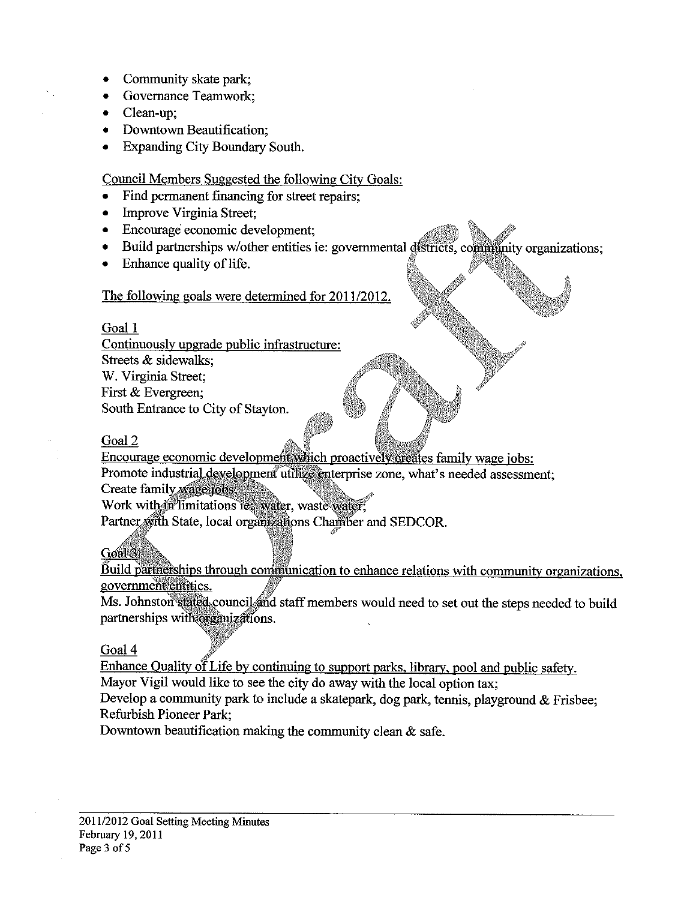- Community skate park;
- **Governance Teamwork:**
- Clean-up:
- Downtown Beautification;
- **Expanding City Boundary South.**

Council Members Suggested the following City Goals:

- Find permanent financing for street repairs;
- Improve Virginia Street;  $\bullet$
- Encourage economic development;
- Build partnerships w/other entities ie: governmental districts, community organizations;  $\bullet$
- Enhance quality of life.

#### The following goals were determined for 2011/2012.

#### Goal 1

Continuously upgrade public infrastructure: Streets & sidewalks; W. Virginia Street; First & Evergreen: South Entrance to City of Stayton.

# Goal 2

Encourage economic development which proactively creates family wage jobs: Promote industrial development utilize enterprise zone, what's needed assessment;

Create family wage jobs,

Work with in limitations ie: water, waste water,

Partner with State, local organizations Chamber and SEDCOR.

# Goal<sup>3</sup>

Build partnerships through communication to enhance relations with community organizations, government entities.

Ms. Johnston stated council and staff members would need to set out the steps needed to build partnerships with organizations.

#### Goal 4

Enhance Quality of Life by continuing to support parks, library, pool and public safety.

Mayor Vigil would like to see the city do away with the local option tax;

Develop a community park to include a skatepark, dog park, tennis, playground & Frisbee; Refurbish Pioneer Park;

Downtown beautification making the community clean  $\&$  safe.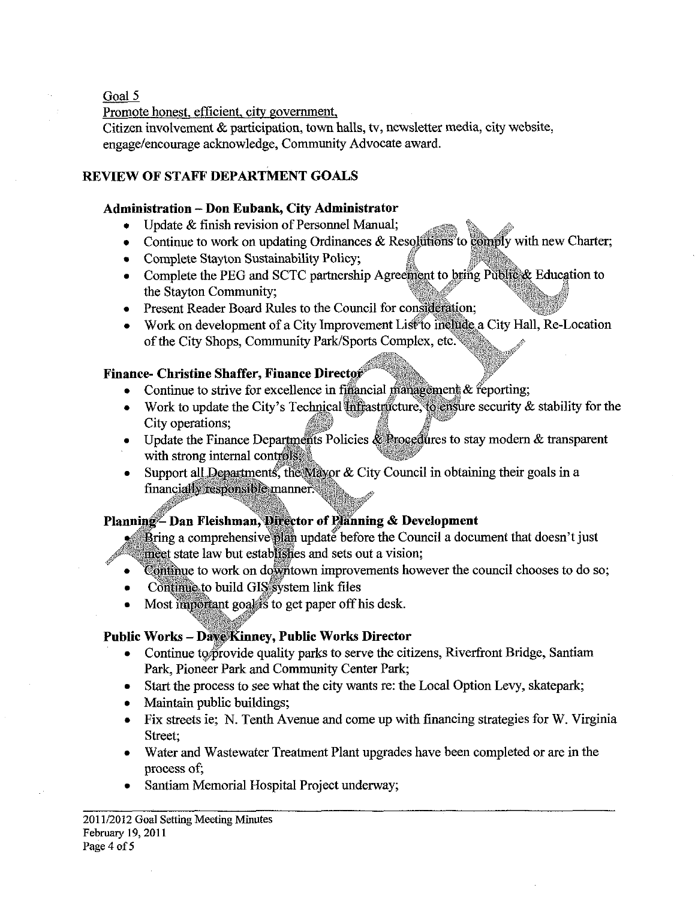Goal 5

Promote honest. efficient. citv government.

Citizen involvement & participation, town halls, **tv,** newsletter media, city website, engage/encourage acknowledge, Community Advocate award.

# **REVIEW OF STAFF DEPARTMENT GOALS**

# **Administration** - **Don Eubank, City Administrator**

- 
- Continue to work on updating Ordinances  $\&$  Resolutions to comply with new Charter;
- 
- Complete Stayton Sustainability Policy;<br>
Complete the PEG and SCTC partnership Agreement to bring Public & Education to the Stayton Community;
- Present Reader Board Rules to the Council for consideration;
- Work on development of a City Improvement List to include a City Hall, Re-Location of the City Shops, Community Park/Sports Complex, etc.

# **Finance- Christine Shaffer, Finance Director**

- Continue to strive for excellence in financial management  $\&$  feporting;
- Work to update the City's Technical infrastructure, to ensure security  $\&$  stability for the City operations;
- Update the Finance Departments Policies  $\&$  Procedures to stay modern  $\&$  transparent with strong internal controls.
- Support all Departments, the Mayor & City Council in obtaining their goals in a financially responsible manner.

# Planning-Dan Fleishman, Director of Planning & Development

 $\bullet$  Bring a comprehensive plan update before the Council a document that doesn't just incet state law but establishes and sets out a vision:

- Continue to work on downtown improvements however the council chooses to do so;  $\bullet$
- Continue to build GIS system link files
- Most important goals's to get paper off his desk.

# **Public Works - Dave Kinney, Public Works Director**

- Continue to provide quality parks to serve the citizens, Riverfront Bridge, Santiam Park, Pioneer Park and Community Center Park;
- Start the process to see what the city wants re: the Local Option Levy, skatepark;
- Maintain public buildings;
- Fix streets ie; N. Tenth Avenue and come up with financing strategies for W. Virginia Street;
- Water and Wastewater Treatment Plant upgrades have been completed or are in the process of;
- Santiam Memorial Hospital Project underway;